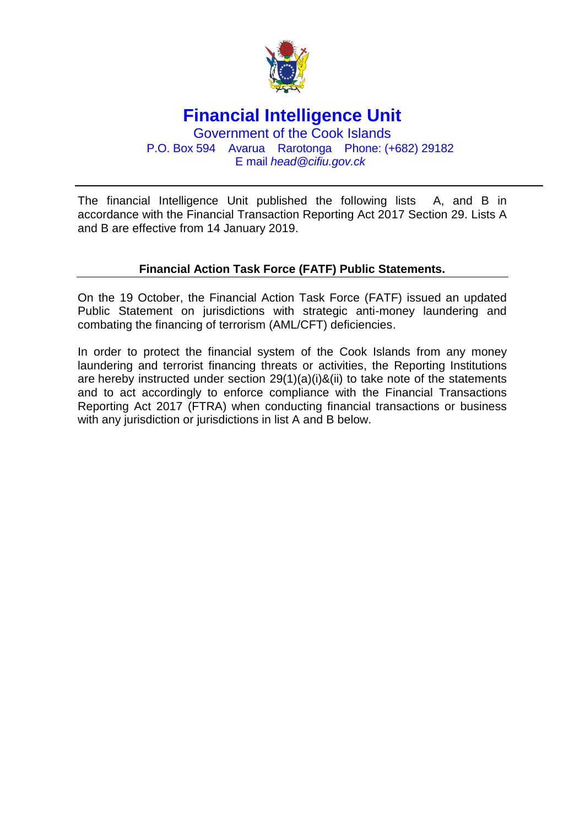

## **Financial Intelligence Unit**

Government of the Cook Islands P.O. Box 594 Avarua Rarotonga Phone: (+682) 29182 E mail *head@cifiu.gov.ck*

The financial Intelligence Unit published the following lists A, and B in accordance with the Financial Transaction Reporting Act 2017 Section 29. Lists A and B are effective from 14 January 2019.

## **Financial Action Task Force (FATF) Public Statements.**

On the 19 October, the Financial Action Task Force (FATF) issued an updated Public Statement on jurisdictions with strategic anti-money laundering and combating the financing of terrorism (AML/CFT) deficiencies.

In order to protect the financial system of the Cook Islands from any money laundering and terrorist financing threats or activities, the Reporting Institutions are hereby instructed under section 29(1)(a)(i)&(ii) to take note of the statements and to act accordingly to enforce compliance with the Financial Transactions Reporting Act 2017 (FTRA) when conducting financial transactions or business with any jurisdiction or jurisdictions in list A and B below.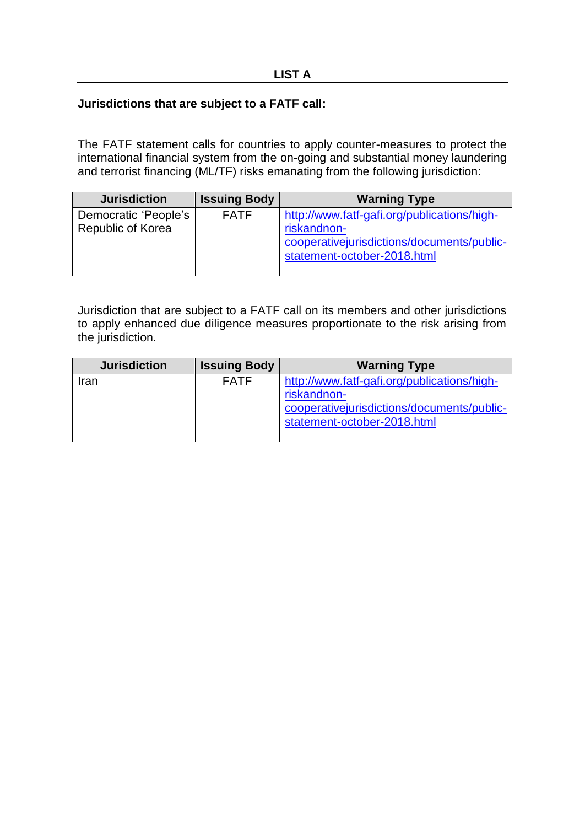## **Jurisdictions that are subject to a FATF call:**

The FATF statement calls for countries to apply counter-measures to protect the international financial system from the on-going and substantial money laundering and terrorist financing (ML/TF) risks emanating from the following jurisdiction:

| <b>Jurisdiction</b>      | <b>Issuing Body</b> | <b>Warning Type</b>                         |
|--------------------------|---------------------|---------------------------------------------|
| Democratic 'People's     | <b>FATF</b>         | http://www.fatf-gafi.org/publications/high- |
| <b>Republic of Korea</b> |                     | riskandnon-                                 |
|                          |                     | cooperativejurisdictions/documents/public-  |
|                          |                     | statement-october-2018.html                 |
|                          |                     |                                             |

Jurisdiction that are subject to a FATF call on its members and other jurisdictions to apply enhanced due diligence measures proportionate to the risk arising from the jurisdiction.

| <b>Jurisdiction</b> | <b>Issuing Body</b> | <b>Warning Type</b>                                                                                                                      |
|---------------------|---------------------|------------------------------------------------------------------------------------------------------------------------------------------|
| Iran                | <b>FATF</b>         | http://www.fatf-gafi.org/publications/high-<br>riskandnon-<br>cooperative jurisdictions/documents/public-<br>statement-october-2018.html |